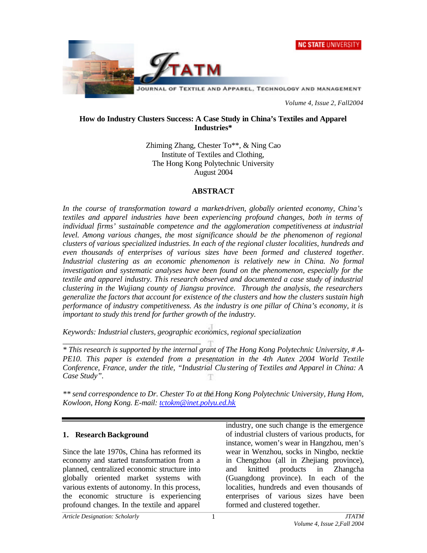



*Volume 4, Issue 2, Fall2004*

#### **How do Industry Clusters Success: A Case Study in China's Textiles and Apparel Industries\***

Zhiming Zhang, Chester To\*\*, & Ning Cao Institute of Textiles and Clothing, The Hong Kong Polytechnic University August 2004

#### **ABSTRACT**

*In the course of transformation toward a market-driven, globally oriented economy, China's textiles and apparel industries have been experiencing profound changes, both in terms of individual firms' sustainable competence and the agglomeration competitiveness at industrial level. Among various changes, the most significance should be the phenomenon of regional clusters of various specialized industries. In each of the regional cluster localities, hundreds and even thousands of enterprises of various sizes have been formed and clustered together. Industrial clustering as an economic phenomenon is relatively new in China. No formal investigation and systematic analyses have been found on the phenomenon, especially for the textile and apparel industry. This research observed and documented a case study of industrial clustering in the Wujiang county of Jiangsu province. Through the analysis, the researchers generalize the factors that account for existence of the clusters and how the clusters sustain high performance of industry competitiveness. As the industry is one pillar of China's economy, it is important to study this trend for further growth of the industry.* 

*Keywords: Industrial clusters, geographic economics, regional specialization*

*\* This research is supported by the internal grant of The Hong Kong Polytechnic University, # A-PE10. This paper is extended from a presentation in the 4th Autex 2004 World Textile Conference, France, under the title, "Industrial Clustering of Textiles and Apparel in China: A Case Study".* 

*\*\* send correspondence to Dr. Chester To at the Hong Kong Polytechnic University, Hung Hom, Kowloon, Hong Kong. E-mail: tctokm@inet.polyu.ed.hk*

#### **1. Research Background**

Since the late 1970s, China has reformed its economy and started transformation from a planned, centralized economic structure into globally oriented market systems with various extents of autonomy. In this process, the economic structure is experiencing profound changes. In the textile and apparel

*\_\_\_\_\_\_\_\_\_\_\_\_\_\_\_\_\_\_\_\_\_\_\_\_\_\_\_\_\_\_\_\_\_\_\_\_*

industry, one such change is the emergence of industrial clusters of various products, for instance, women's wear in Hangzhou, men's wear in Wenzhou, socks in Ningbo, necktie in Chengzhou (all in Zhejiang province), and knitted products in Zhangcha (Guangdong province). In each of the localities, hundreds and even thousands of enterprises of various sizes have been formed and clustered together.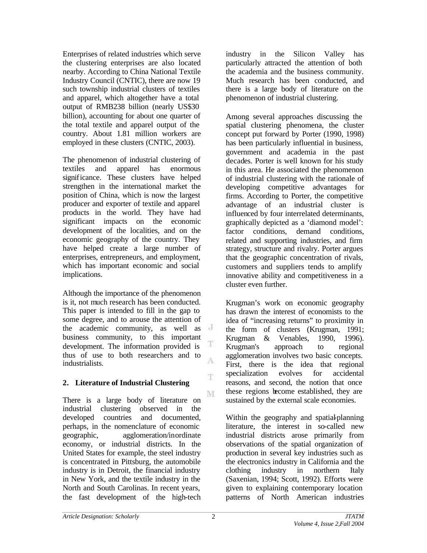Enterprises of related industries which serve the clustering enterprises are also located nearby. According to China National Textile Industry Council (CNTIC), there are now 19 such township industrial clusters of textiles and apparel, which altogether have a total output of RMB238 billion (nearly US\$30 billion), accounting for about one quarter of the total textile and apparel output of the country. About 1.81 million workers are employed in these clusters (CNTIC, 2003).

The phenomenon of industrial clustering of textiles and apparel has enormous significance. These clusters have helped strengthen in the international market the position of China, which is now the largest producer and exporter of textile and apparel products in the world. They have had significant impacts on the economic development of the localities, and on the economic geography of the country. They have helped create a large number of enterprises, entrepreneurs, and employment, which has important economic and social implications.

Although the importance of the phenomenon is it, not much research has been conducted. This paper is intended to fill in the gap to some degree, and to arouse the attention of the academic community, as well as  $\overline{d}$ business community, to this important development. The information provided is T thus of use to both researchers and to A industrialists.

# **2. Literature of Industrial Clustering**

M There is a large body of literature on industrial clustering observed in the developed countries and documented, perhaps, in the nomenclature of economic geographic, agglomeration/inordinate economy, or industrial districts. In the United States for example, the steel industry is concentrated in Pittsburg, the automobile industry is in Detroit, the financial industry in New York, and the textile industry in the North and South Carolinas. In recent years, the fast development of the high-tech

industry in the Silicon Valley has particularly attracted the attention of both the academia and the business community. Much research has been conducted, and there is a large body of literature on the phenomenon of industrial clustering.

Among several approaches discussing the spatial clustering phenomena, the cluster concept put forward by Porter (1990, 1998) has been particularly influential in business, government and academia in the past decades. Porter is well known for his study in this area. He associated the phenomenon of industrial clustering with the rationale of developing competitive advantages for firms. According to Porter, the competitive advantage of an industrial cluster is influenced by four interrelated determinants, graphically depicted as a 'diamond model': factor conditions, demand conditions, related and supporting industries, and firm strategy, structure and rivalry. Porter argues that the geographic concentration of rivals, customers and suppliers tends to amplify innovative ability and competitiveness in a cluster even further.

Krugman's work on economic geography has drawn the interest of economists to the idea of "increasing returns" to proximity in the form of clusters (Krugman, 1991; Krugman & Venables, 1990, 1996). Krugman's approach to regional agglomeration involves two basic concepts. First, there is the idea that regional specialization evolves for accidental reasons, and second, the notion that once these regions become established, they are sustained by the external scale economies.

Within the geography and spatial-planning literature, the interest in so-called new industrial districts arose primarily from observations of the spatial organization of production in several key industries such as the electronics industry in California and the clothing industry in northern Italy (Saxenian, 1994; Scott, 1992). Efforts were given to explaining contemporary location patterns of North American industries

T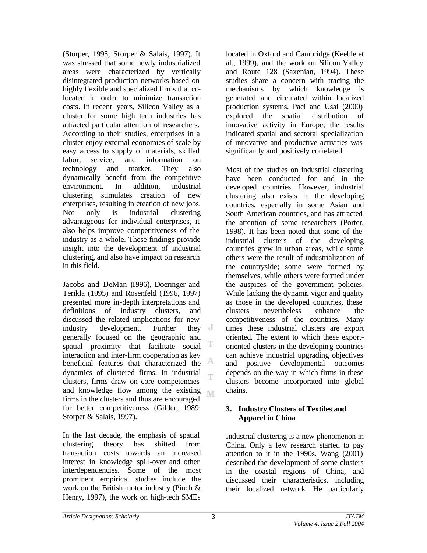(Storper, 1995; Storper & Salais, 1997). It was stressed that some newly industrialized areas were characterized by vertically disintegrated production networks based on highly flexible and specialized firms that colocated in order to minimize transaction costs. In recent years, Silicon Valley as a cluster for some high tech industries has attracted particular attention of researchers. According to their studies, enterprises in a cluster enjoy external economies of scale by easy access to supply of materials, skilled labor, service, and information on technology and market. They also dynamically benefit from the competitive environment. In addition, industrial clustering stimulates creation of new enterprises, resulting in creation of new jobs. Not only is industrial clustering advantageous for individual enterprises, it also helps improve competitiveness of the industry as a whole. These findings provide insight into the development of industrial clustering, and also have impact on research in this field.

Jacobs and DeMan (1996), Doeringer and Terikla (1995) and Rosenfeld (1996, 1997) presented more in-depth interpretations and definitions of industry clusters, and discussed the related implications for new industry development. Further they generally focused on the geographic and spatial proximity that facilitate social Ŧ interaction and inter-firm cooperation as key А beneficial features that characterized the dynamics of clustered firms. In industrial T clusters, firms draw on core competencies and knowledge flow among the existing firms in the clusters and thus are encouraged for better competitiveness (Gilder, 1989; Storper & Salais, 1997).

In the last decade, the emphasis of spatial clustering theory has shifted from transaction costs towards an increased interest in knowledge spill-over and other interdependencies. Some of the most prominent empirical studies include the work on the British motor industry (Pinch & Henry, 1997), the work on high-tech SMEs

located in Oxford and Cambridge (Keeble et al., 1999), and the work on Silicon Valley and Route 128 (Saxenian, 1994). These studies share a concern with tracing the mechanisms by which knowledge is generated and circulated within localized production systems. Paci and Usai (2000) explored the spatial distribution of innovative activity in Europe; the results indicated spatial and sectoral specialization of innovative and productive activities was significantly and positively correlated.

Most of the studies on industrial clustering have been conducted for and in the developed countries. However, industrial clustering also exists in the developing countries, especially in some Asian and South American countries, and has attracted the attention of some researchers (Porter, 1998). It has been noted that some of the industrial clusters of the developing countries grew in urban areas, while some others were the result of industrialization of the countryside; some were formed by themselves, while others were formed under the auspices of the government policies. While lacking the dynamic vigor and quality as those in the developed countries, these clusters nevertheless enhance the competitiveness of the countries. Many times these industrial clusters are export oriented. The extent to which these exportoriented clusters in the developing countries can achieve industrial upgrading objectives and positive developmental outcomes depends on the way in which firms in these clusters become incorporated into global chains.

## **3. Industry Clusters of Textiles and Apparel in China**

Industrial clustering is a new phenomenon in China. Only a few research started to pay attention to it in the 1990s. Wang (2001) described the development of some clusters in the coastal regions of China, and discussed their characteristics, including their localized network. He particularly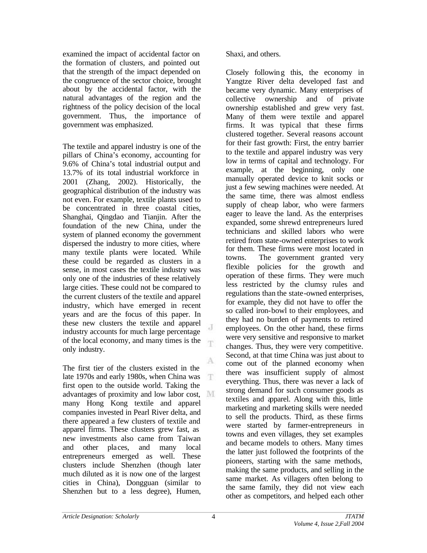examined the impact of accidental factor on the formation of clusters, and pointed out that the strength of the impact depended on the congruence of the sector choice, brought about by the accidental factor, with the natural advantages of the region and the rightness of the policy decision of the local government. Thus, the importance of government was emphasized.

The textile and apparel industry is one of the pillars of China's economy, accounting for 9.6% of China's total industrial output and 13.7% of its total industrial workforce in 2001 (Zhang, 2002). Historically, the geographical distribution of the industry was not even. For example, textile plants used to be concentrated in three coastal cities, Shanghai, Qingdao and Tianjin. After the foundation of the new China, under the system of planned economy the government dispersed the industry to more cities, where many textile plants were located. While these could be regarded as clusters in a sense, in most cases the textile industry was only one of the industries of these relatively large cities. These could not be compared to the current clusters of the textile and apparel industry, which have emerged in recent years and are the focus of this paper. In these new clusters the textile and apparel industry accounts for much large percentage of the local economy, and many times is the only industry.

A The first tier of the clusters existed in the late 1970s and early 1980s, when China was T. first open to the outside world. Taking the advantages of proximity and low labor cost, many Hong Kong textile and apparel companies invested in Pearl River delta, and there appeared a few clusters of textile and apparel firms. These clusters grew fast, as new investments also came from Taiwan and other places, and many local entrepreneurs emerged as well. These clusters include Shenzhen (though later much diluted as it is now one of the largest cities in China), Dongguan (similar to Shenzhen but to a less degree), Humen,

Shaxi, and others.

Closely following this, the economy in Yangtze River delta developed fast and became very dynamic. Many enterprises of collective ownership and of private ownership established and grew very fast. Many of them were textile and apparel firms. It was typical that these firms clustered together. Several reasons account for their fast growth: First, the entry barrier to the textile and apparel industry was very low in terms of capital and technology. For example, at the beginning, only one manually operated device to knit socks or just a few sewing machines were needed. At the same time, there was almost endless supply of cheap labor, who were farmers eager to leave the land. As the enterprises expanded, some shrewd entrepreneurs lured technicians and skilled labors who were retired from state-owned enterprises to work for them. These firms were most located in towns. The government granted very flexible policies for the growth and operation of these firms. They were much less restricted by the clumsy rules and regulations than the state-owned enterprises, for example, they did not have to offer the so called iron-bowl to their employees, and they had no burden of payments to retired employees. On the other hand, these firms were very sensitive and responsive to market changes. Thus, they were very competitive. Second, at that time China was just about to come out of the planned economy when there was insufficient supply of almost everything. Thus, there was never a lack of strong demand for such consumer goods as textiles and apparel. Along with this, little marketing and marketing skills were needed to sell the products. Third, as these firms were started by farmer-entrepreneurs in towns and even villages, they set examples and became models to others. Many times the latter just followed the footprints of the pioneers, starting with the same methods, making the same products, and selling in the same market. As villagers often belong to the same family, they did not view each other as competitors, and helped each other

J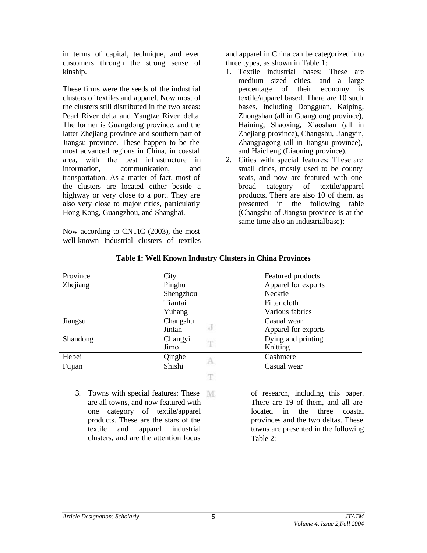in terms of capital, technique, and even customers through the strong sense of kinship.

These firms were the seeds of the industrial clusters of textiles and apparel. Now most of the clusters still distributed in the two areas: Pearl River delta and Yangtze River delta. The former is Guangdong province, and the latter Zhejiang province and southern part of Jiangsu province. These happen to be the most advanced regions in China, in coastal area, with the best infrastructure in information, communication, and transportation. As a matter of fact, most of the clusters are located either beside a highway or very close to a port. They are also very close to major cities, particularly Hong Kong, Guangzhou, and Shanghai.

Now according to CNTIC (2003), the most well-known industrial clusters of textiles and apparel in China can be categorized into three types, as shown in Table 1:

- 1. Textile industrial bases: These are medium sized cities, and a large percentage of their economy is textile/apparel based. There are 10 such bases, including Dongguan, Kaiping, Zhongshan (all in Guangdong province), Haining, Shaoxing, Xiaoshan (all in Zhejiang province), Changshu, Jiangyin, Zhangjiagong (all in Jiangsu province), and Haicheng (Liaoning province).
- 2. Cities with special features: These are small cities, mostly used to be county seats, and now are featured with one broad category of textile/apparel products. There are also 10 of them, as presented in the following table (Changshu of Jiangsu province is at the same time also an industrial base):

| Province | City             | Featured products   |
|----------|------------------|---------------------|
| Zhejiang | Pinghu           | Apparel for exports |
|          | Shengzhou        | Necktie             |
|          | Tiantai          | Filter cloth        |
|          | Yuhang           | Various fabrics     |
| Jiangsu  | Changshu         | Casual wear         |
|          | Jintan           | Apparel for exports |
| Shandong | Changyi          | Dying and printing  |
|          | T<br>Jimo        | Knitting            |
| Hebei    | Qinghe           | Cashmere            |
| Fujian   | $\sim$<br>Shishi | Casual wear         |
|          |                  |                     |

## **Table 1: Well Known Industry Clusters in China Provinces**

3. Towns with special features: These are all towns, and now featured with one category of textile/apparel products. These are the stars of the textile and apparel industrial clusters, and are the attention focus

of research, including this paper. There are 19 of them, and all are located in the three coastal provinces and the two deltas. These towns are presented in the following Table 2: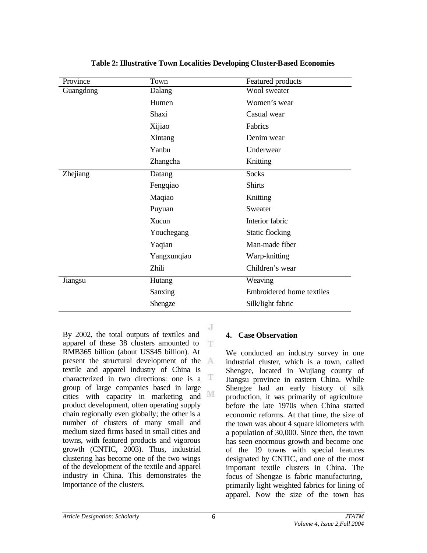| Province  | Town        | <b>Featured</b> products  |
|-----------|-------------|---------------------------|
| Guangdong | Dalang      | Wool sweater              |
|           | Humen       | Women's wear              |
|           | Shaxi       | Casual wear               |
|           | Xijiao      | Fabrics                   |
|           | Xintang     | Denim wear                |
|           | Yanbu       | Underwear                 |
|           | Zhangcha    | Knitting                  |
| Zhejiang  | Datang      | <b>Socks</b>              |
|           | Fengqiao    | <b>Shirts</b>             |
|           | Maqiao      | Knitting                  |
|           | Puyuan      | Sweater                   |
|           | Xucun       | Interior fabric           |
|           | Youchegang  | <b>Static flocking</b>    |
|           | Yaqian      | Man-made fiber            |
|           | Yangxunqiao | Warp-knitting             |
|           | Zhili       | Children's wear           |
| Jiangsu   | Hutang      | Weaving                   |
|           | Sanxing     | Embroidered home textiles |
|           | Shengze     | Silk/light fabric         |

**Table 2: Illustrative Town Localities Developing Cluster-Based Economies**

J By 2002, the total outputs of textiles and apparel of these 38 clusters amounted to T. RMB365 billion (about US\$45 billion). At present the structural development of the textile and apparel industry of China is characterized in two directions: one is a  $\mathbb T$ group of large companies based in large cities with capacity in marketing and M product development, often operating supply chain regionally even globally; the other is a number of clusters of many small and medium sized firms based in small cities and towns, with featured products and vigorous growth (CNTIC, 2003). Thus, industrial clustering has become one of the two wings of the development of the textile and apparel industry in China. This demonstrates the importance of the clusters.

## **4. Case Observation**

We conducted an industry survey in one industrial cluster, which is a town, called Shengze, located in Wujiang county of Jiangsu province in eastern China. While Shengze had an early history of silk production, it was primarily of agriculture before the late 1970s when China started economic reforms. At that time, the size of the town was about 4 square kilometers with a population of 30,000. Since then, the town has seen enormous growth and become one of the 19 towns with special features designated by CNTIC, and one of the most important textile clusters in China. The focus of Shengze is fabric manufacturing, primarily light weighted fabrics for lining of apparel. Now the size of the town has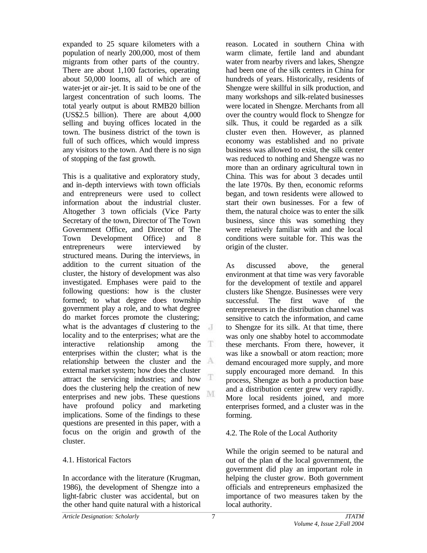expanded to 25 square kilometers with a population of nearly 200,000, most of them migrants from other parts of the country. There are about 1,100 factories, operating about 50,000 looms, all of which are of water-jet or air-jet. It is said to be one of the largest concentration of such looms. The total yearly output is about RMB20 billion (US\$2.5 billion). There are about 4,000 selling and buying offices located in the town. The business district of the town is full of such offices, which would impress any visitors to the town. And there is no sign of stopping of the fast growth.

This is a qualitative and exploratory study, and in-depth interviews with town officials and entrepreneurs were used to collect information about the industrial cluster. Altogether 3 town officials (Vice Party Secretary of the town, Director of The Town Government Office, and Director of The Town Development Office) and 8 entrepreneurs were interviewed by structured means. During the interviews, in addition to the current situation of the cluster, the history of development was also investigated. Emphases were paid to the following questions: how is the cluster formed; to what degree does township government play a role, and to what degree do market forces promote the clustering; what is the advantages of clustering to the  $\overline{A}$ locality and to the enterprises; what are the interactive relationship among the enterprises within the cluster; what is the relationship between the cluster and the external market system; how does the cluster Ŧ attract the servicing industries; and how does the clustering help the creation of new M enterprises and new jobs. These questions have profound policy and marketing implications. Some of the findings to these questions are presented in this paper, with a focus on the origin and growth of the cluster.

## 4.1. Historical Factors

In accordance with the literature (Krugman, 1986), the development of Shengze into a light-fabric cluster was accidental, but on the other hand quite natural with a historical reason. Located in southern China with warm climate, fertile land and abundant water from nearby rivers and lakes, Shengze had been one of the silk centers in China for hundreds of years. Historically, residents of Shengze were skillful in silk production, and many workshops and silk-related businesses were located in Shengze. Merchants from all over the country would flock to Shengze for silk. Thus, it could be regarded as a silk cluster even then. However, as planned economy was established and no private business was allowed to exist, the silk center was reduced to nothing and Shengze was no more than an ordinary agricultural town in China. This was for about 3 decades until the late 1970s. By then, economic reforms began, and town residents were allowed to start their own businesses. For a few of them, the natural choice was to enter the silk business, since this was something they were relatively familiar with and the local conditions were suitable for. This was the origin of the cluster.

As discussed above, the general environment at that time was very favorable for the development of textile and apparel clusters like Shengze. Businesses were very successful. The first wave of the entrepreneurs in the distribution channel was sensitive to catch the information, and came to Shengze for its silk. At that time, there was only one shabby hotel to accommodate these merchants. From there, however, it was like a snowball or atom reaction; more demand encouraged more supply, and more supply encouraged more demand. In this process, Shengze as both a production base and a distribution center grew very rapidly. More local residents joined, and more enterprises formed, and a cluster was in the forming.

## 4.2. The Role of the Local Authority

While the origin seemed to be natural and out of the plan of the local government, the government did play an important role in helping the cluster grow. Both government officials and entrepreneurs emphasized the importance of two measures taken by the local authority.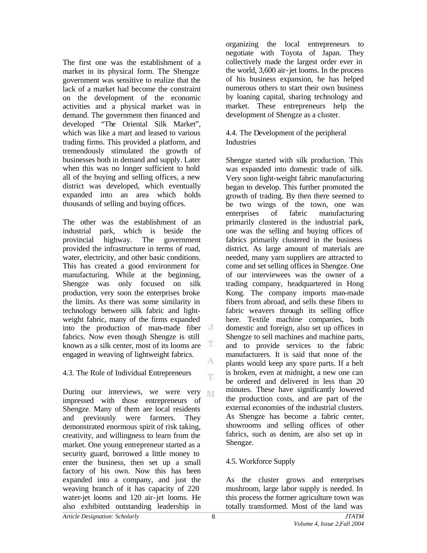The first one was the establishment of a market in its physical form. The Shengze government was sensitive to realize that the lack of a market had become the constraint on the development of the economic activities and a physical market was in demand. The government then financed and developed "The Oriental Silk Market", which was like a mart and leased to various trading firms. This provided a platform, and tremendously stimulated the growth of businesses both in demand and supply. Later when this was no longer sufficient to hold all of the buying and selling offices, a new district was developed, which eventually expanded into an area which holds thousands of selling and buying offices.

The other was the establishment of an industrial park, which is beside the provincial highway. The government provided the infrastructure in terms of road, water, electricity, and other basic conditions. This has created a good environment for manufacturing. While at the beginning, Shengze was only focused on silk production, very soon the enterprises broke the limits. As there was some similarity in technology between silk fabric and lightweight fabric, many of the firms expanded into the production of man-made fiber fabrics. Now even though Shengze is still known as a silk center, most of its looms are  $\Box$ engaged in weaving of lightweight fabrics. A

## 4.3. The Role of Individual Entrepreneurs

During our interviews, we were very impressed with those entrepreneurs of Shengze. Many of them are local residents and previously were farmers. They demonstrated enormous spirit of risk taking, creativity, and willingness to learn from the market. One young entrepreneur started as a security guard, borrowed a little money to enter the business, then set up a small factory of his own. Now this has been expanded into a company, and just the weaving branch of it has capacity of 220 water-jet looms and 120 air-jet looms. He also exhibited outstanding leadership in

organizing the local entrepreneurs to negotiate with Toyota of Japan. They collectively made the largest order ever in the world, 3,600 air-jet looms. In the process of his business expansion, he has helped numerous others to start their own business by loaning capital, sharing technology and market. These entrepreneurs help the development of Shengze as a cluster.

#### 4.4. The Development of the peripheral Industries

Shengze started with silk production. This was expanded into domestic trade of silk. Very soon light-weight fabric manufacturing began to develop. This further promoted the growth of trading. By then there seemed to be two wings of the town, one was enterprises of fabric manufacturing primarily clustered in the industrial park, one was the selling and buying offices of fabrics primarily clustered in the business district. As large amount of materials are needed, many yarn suppliers are attracted to come and set selling offices in Shengze. One of our interviewees was the owner of a trading company, headquartered in Hong Kong. The company imports man-made fibers from abroad, and sells these fibers to fabric weavers through its selling office here. Textile machine companies, both domestic and foreign, also set up offices in Shengze to sell machines and machine parts, and to provide services to the fabric manufacturers. It is said that none of the plants would keep any spare parts. If a belt is broken, even at midnight, a new one can be ordered and delivered in less than 20 minutes. These have significantly lowered the production costs, and are part of the external economies of the industrial clusters. As Shengze has become a fabric center, showrooms and selling offices of other fabrics, such as denim, are also set up in Shengze.

## 4.5. Workforce Supply

As the cluster grows and enterprises mushroom, large labor supply is needed. In this process the former agriculture town was totally transformed. Most of the land was

T.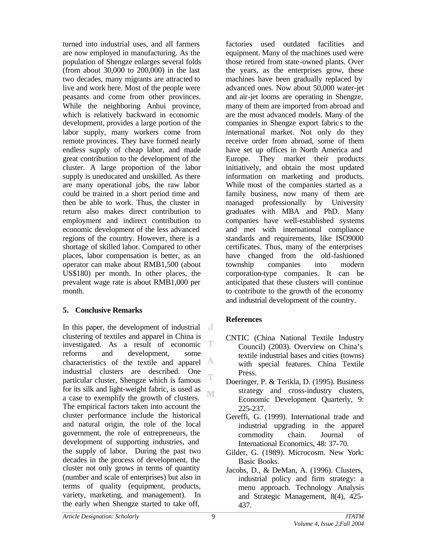turned into industrial uses, and all farmers are now employed in manufacturing. As the population of Shengze enlarges several folds (from about 30,000 to 200,000) in the last two decades, many migrants are attracted to live and work here. Most of the people were peasants and come from other provinces. While the neighboring Anhui province, which is relatively backward in economic development, provides a large portion of the labor supply, many workers come from remote provinces. They have formed nearly endless supply of cheap labor, and made great contribution to the development of the cluster. A large proportion of the labor supply is uneducated and unskilled. As there are many operational jobs, the raw labor could be trained in a short period time and then be able to work. Thus, the cluster in return also makes direct contribution to employment and indirect contribution to economic development of the less advanced regions of the country. However, there is a shortage of skilled labor. Compared to other places, labor compensation is better, as an operator can make about RMB1,500 (about US\$180) per month. In other places, the prevalent wage rate is about RMB1,000 per month.

## **5. Conclusive Remarks**

In this paper, the development of industrial  $\overline{a}$ clustering of textiles and apparel in China is 江 investigated. As a result of economic reforms and development, some characteristics of the textile and apparel industrial clusters are described. One T particular cluster, Shengze which is famous for its silk and light-weight fabric, is used as M a case to exemplify the growth of clusters. The empirical factors taken into account the cluster performance include the historical and natural origin, the role of the local government, the role of entrepreneurs, the development of supporting industries, and the supply of labor. During the past two decades in the process of development, the cluster not only grows in terms of quantity (number and scale of enterprises) but also in terms of quality (equipment, products, variety, marketing, and management). In the early when Shengze started to take off,

factories used outdated facilities and equipment. Many of the machines used were those retired from state-owned plants. Over the years, as the enterprises grow, these machines have been gradually replaced by advanced ones. Now about 50,000 water-jet and air-jet looms are operating in Shengze, many of them are imported from abroad and are the most advanced models. Many of the companies in Shengze export fabric s to the international market. Not only do they receive order from abroad, some of them have set up offices in North America and Europe. They market their products initiatively, and obtain the most updated information on marketing and products. While most of the companies started as a family business, now many of them are managed professionally by University graduates with MBA and PhD. Many companies have well-established systems and met with international compliance standards and requirements, like ISO9000 certificates. Thus, many of the enterprises have changed from the old-fashioned township companies into modern corporation-type companies. It can be anticipated that these clusters will continue to contribute to the growth of the economy and industrial development of the country.

# **References**

- CNTIC (China National Textile Industry Council) (2003). Overview on China's textile industrial bases and cities (towns) with special features. China Textile Press.
- Doeringer, P. & Terikla, D. (1995). Business strategy and cross-industry clusters, Economic Development Quarterly, 9: 225-237.
- Gereffi, G. (1999). International trade and industrial upgrading in the apparel commodity chain. Journal of International Economics, 48: 37-70.
- Gilder, G. (1989). Microcosm. New York: Basic Books.
- Jacobs, D., & DeMan, A. (1996). Clusters, industrial policy and firm strategy: a menu approach. Technology Analysis and Strategic Management, 8(4), 425- 437.